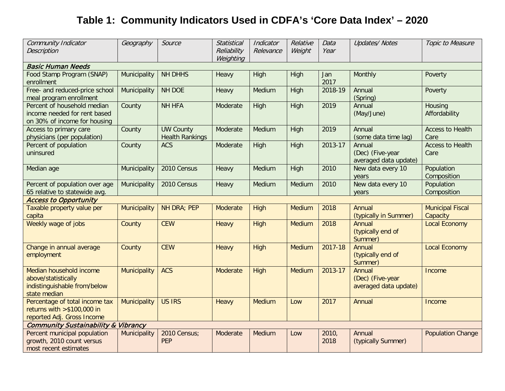## **Table 1: Community Indicators Used in CDFA's 'Core Data Index' – 2020**

| Community Indicator<br><b>Description</b>                                                      | Geography           | Source                                     | <b>Statistical</b><br>Reliability<br>Weighting | Indicator<br>Relevance | Relative<br>Weight | Data<br>Year  | <b>Updates/Notes</b>                                | Topic to Measure                    |
|------------------------------------------------------------------------------------------------|---------------------|--------------------------------------------|------------------------------------------------|------------------------|--------------------|---------------|-----------------------------------------------------|-------------------------------------|
| <b>Basic Human Needs</b>                                                                       |                     |                                            |                                                |                        |                    |               |                                                     |                                     |
| Food Stamp Program (SNAP)<br>enrollment                                                        | Municipality        | <b>NH DHHS</b>                             | Heavy                                          | High                   | High               | Jan<br>2017   | Monthly                                             | Poverty                             |
| Free- and reduced-price school<br>meal program enrollment                                      | Municipality        | NH DOE                                     | Heavy                                          | Medium                 | High               | 2018-19       | Annual<br>(Spring)                                  | Poverty                             |
| Percent of household median<br>income needed for rent based<br>on 30% of income for housing    | County              | <b>NH HFA</b>                              | Moderate                                       | High                   | High               | 2019          | Annual<br>(May/June)                                | Housing<br>Affordability            |
| Access to primary care<br>physicians (per population)                                          | County              | <b>UW County</b><br><b>Health Rankings</b> | Moderate                                       | Medium                 | High               | 2019          | Annual<br>(some data time lag)                      | <b>Access to Health</b><br>Care     |
| Percent of population<br>uninsured                                                             | County              | <b>ACS</b>                                 | Moderate                                       | High                   | High               | 2013-17       | Annual<br>(Dec) (Five-year<br>averaged data update) | <b>Access to Health</b><br>Care     |
| Median age                                                                                     | Municipality        | 2010 Census                                | Heavy                                          | Medium                 | High               | 2010          | New data every 10<br>years                          | Population<br>Composition           |
| Percent of population over age<br>65 relative to statewide avg.                                | Municipality        | 2010 Census                                | Heavy                                          | Medium                 | Medium             | 2010          | New data every 10<br>years                          | Population<br>Composition           |
| <b>Access to Opportunity</b>                                                                   |                     |                                            |                                                |                        |                    |               |                                                     |                                     |
| Taxable property value per<br>capita                                                           | Municipality        | NH DRA; PEP                                | Moderate                                       | High                   | Medium             | 2018          | Annual<br>(typically in Summer)                     | <b>Municipal Fiscal</b><br>Capacity |
| Weekly wage of jobs                                                                            | County              | <b>CEW</b>                                 | Heavy                                          | High                   | Medium             | 2018          | Annual<br>(typically end of<br>Summer)              | <b>Local Economy</b>                |
| Change in annual average<br>employment                                                         | County              | <b>CEW</b>                                 | Heavy                                          | High                   | Medium             | 2017-18       | Annual<br>(typically end of<br>Summer)              | <b>Local Economy</b>                |
| Median household income<br>above/statistically<br>indistinguishable from/below<br>state median | <b>Municipality</b> | <b>ACS</b>                                 | Moderate                                       | High                   | <b>Medium</b>      | 2013-17       | Annual<br>(Dec) (Five-year<br>averaged data update) | Income                              |
| Percentage of total income tax<br>returns with $> $100,000$ in<br>reported Adj. Gross Income   | <b>Municipality</b> | <b>US IRS</b>                              | Heavy                                          | <b>Medium</b>          | Low                | 2017          | Annual                                              | Income                              |
| <b>Community Sustainability &amp; Vibrancy</b>                                                 |                     |                                            |                                                |                        |                    |               |                                                     |                                     |
| Percent municipal population<br>growth, 2010 count versus<br>most recent estimates             | Municipality        | 2010 Census;<br><b>PEP</b>                 | Moderate                                       | Medium                 | Low                | 2010,<br>2018 | Annual<br>(typically Summer)                        | <b>Population Change</b>            |